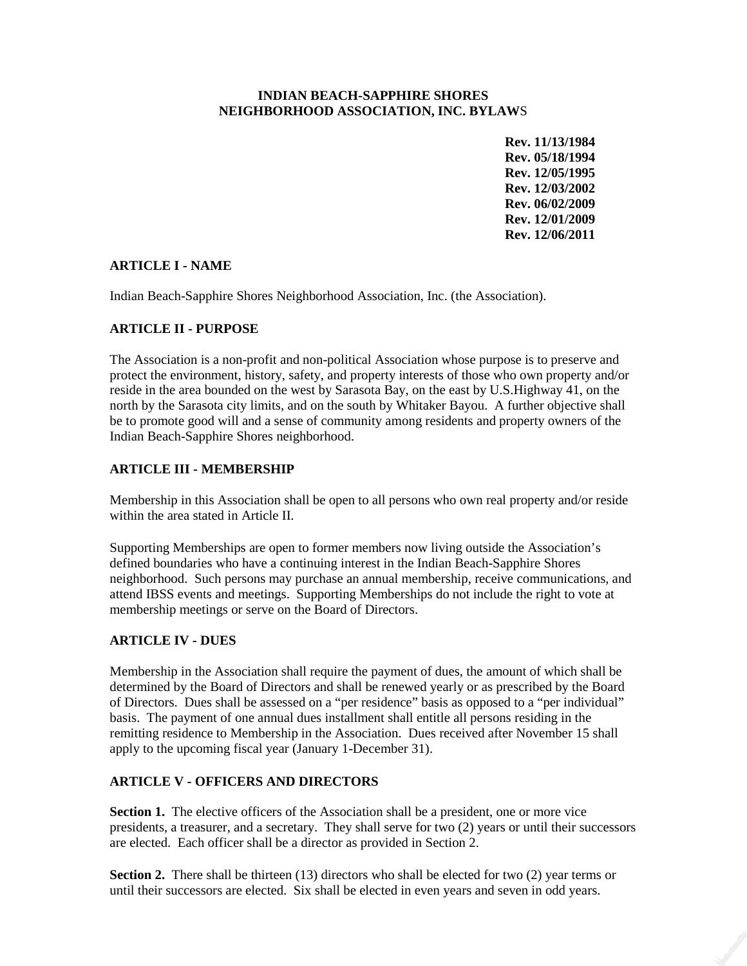#### **INDIAN BEACH-SAPPHIRE SHORES NEIGHBORHOOD ASSOCIATION, INC. BYLAW**S

 **Rev. 11/13/1984 Rev. 05/18/1994 Rev. 12/05/1995 Rev. 12/03/2002 Rev. 06/02/2009 Rev. 12/01/2009 Rev. 12/06/2011** 

### **ARTICLE I - NAME**

Indian Beach-Sapphire Shores Neighborhood Association, Inc. (the Association).

### **ARTICLE II - PURPOSE**

The Association is a non-profit and non-political Association whose purpose is to preserve and protect the environment, history, safety, and property interests of those who own property and/or reside in the area bounded on the west by Sarasota Bay, on the east by U.S.Highway 41, on the north by the Sarasota city limits, and on the south by Whitaker Bayou. A further objective shall be to promote good will and a sense of community among residents and property owners of the Indian Beach-Sapphire Shores neighborhood.

## **ARTICLE III - MEMBERSHIP**

Membership in this Association shall be open to all persons who own real property and/or reside within the area stated in Article II.

Supporting Memberships are open to former members now living outside the Association's defined boundaries who have a continuing interest in the Indian Beach-Sapphire Shores neighborhood. Such persons may purchase an annual membership, receive communications, and attend IBSS events and meetings. Supporting Memberships do not include the right to vote at membership meetings or serve on the Board of Directors.

## **ARTICLE IV - DUES**

Membership in the Association shall require the payment of dues, the amount of which shall be determined by the Board of Directors and shall be renewed yearly or as prescribed by the Board of Directors. Dues shall be assessed on a "per residence" basis as opposed to a "per individual" basis. The payment of one annual dues installment shall entitle all persons residing in the remitting residence to Membership in the Association. Dues received after November 15 shall apply to the upcoming fiscal year (January 1-December 31).

## **ARTICLE V - OFFICERS AND DIRECTORS**

**Section 1.** The elective officers of the Association shall be a president, one or more vice presidents, a treasurer, and a secretary. They shall serve for two (2) years or until their successors are elected. Each officer shall be a director as provided in Section 2.

**Section 2.** There shall be thirteen (13) directors who shall be elected for two (2) year terms or until their successors are elected. Six shall be elected in even years and seven in odd years.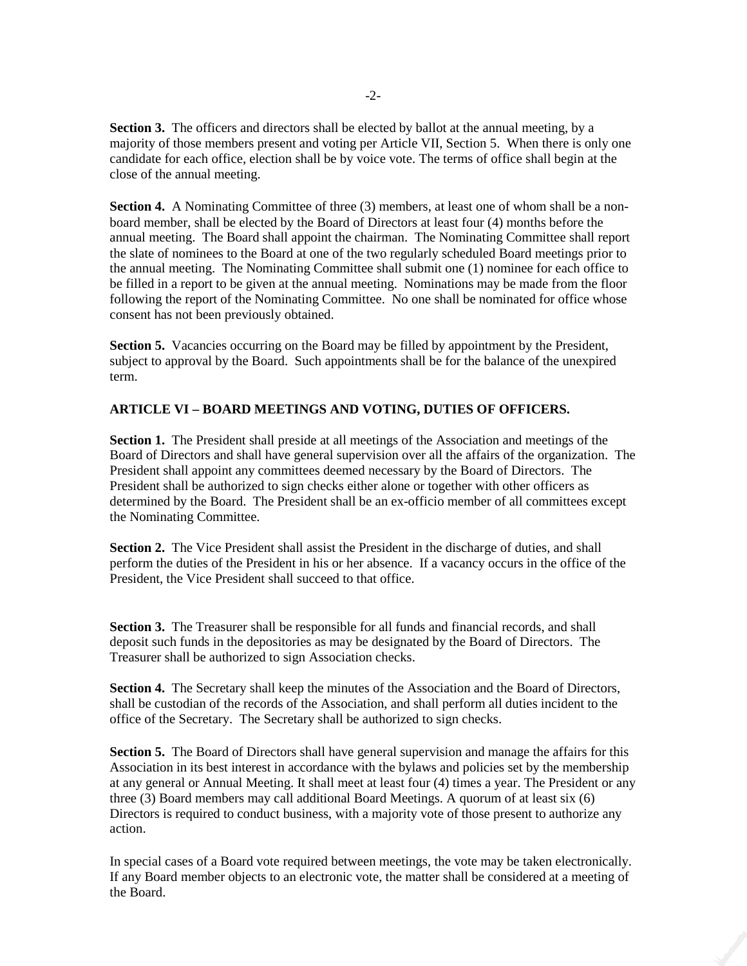**Section 3.** The officers and directors shall be elected by ballot at the annual meeting, by a majority of those members present and voting per Article VII, Section 5. When there is only one candidate for each office, election shall be by voice vote. The terms of office shall begin at the close of the annual meeting.

**Section 4.** A Nominating Committee of three (3) members, at least one of whom shall be a nonboard member, shall be elected by the Board of Directors at least four (4) months before the annual meeting. The Board shall appoint the chairman. The Nominating Committee shall report the slate of nominees to the Board at one of the two regularly scheduled Board meetings prior to the annual meeting. The Nominating Committee shall submit one (1) nominee for each office to be filled in a report to be given at the annual meeting. Nominations may be made from the floor following the report of the Nominating Committee. No one shall be nominated for office whose consent has not been previously obtained.

**Section 5.** Vacancies occurring on the Board may be filled by appointment by the President, subject to approval by the Board. Such appointments shall be for the balance of the unexpired term.

#### **ARTICLE VI – BOARD MEETINGS AND VOTING, DUTIES OF OFFICERS.**

**Section 1.** The President shall preside at all meetings of the Association and meetings of the Board of Directors and shall have general supervision over all the affairs of the organization. The President shall appoint any committees deemed necessary by the Board of Directors. The President shall be authorized to sign checks either alone or together with other officers as determined by the Board. The President shall be an ex-officio member of all committees except the Nominating Committee.

**Section 2.** The Vice President shall assist the President in the discharge of duties, and shall perform the duties of the President in his or her absence. If a vacancy occurs in the office of the President, the Vice President shall succeed to that office.

**Section 3.** The Treasurer shall be responsible for all funds and financial records, and shall deposit such funds in the depositories as may be designated by the Board of Directors. The Treasurer shall be authorized to sign Association checks.

**Section 4.** The Secretary shall keep the minutes of the Association and the Board of Directors, shall be custodian of the records of the Association, and shall perform all duties incident to the office of the Secretary. The Secretary shall be authorized to sign checks.

**Section 5.** The Board of Directors shall have general supervision and manage the affairs for this Association in its best interest in accordance with the bylaws and policies set by the membership at any general or Annual Meeting. It shall meet at least four (4) times a year. The President or any three (3) Board members may call additional Board Meetings. A quorum of at least six (6) Directors is required to conduct business, with a majority vote of those present to authorize any action.

In special cases of a Board vote required between meetings, the vote may be taken electronically. If any Board member objects to an electronic vote, the matter shall be considered at a meeting of the Board.